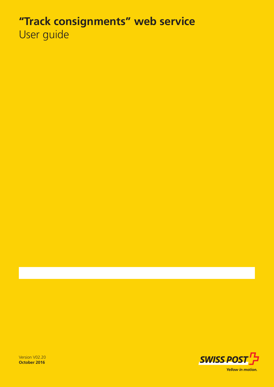# **"Track consignments" web service** User guide



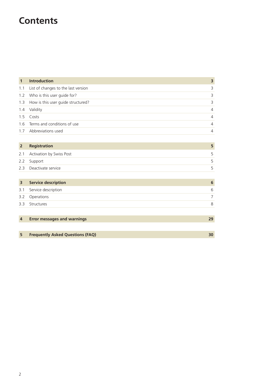## **Contents**

| $\mathbf{1}$ | <b>Introduction</b>                     | 3              |
|--------------|-----------------------------------------|----------------|
|              | 1.1 List of changes to the last version | 3              |
|              | 1.2 Who is this user guide for?         | 3              |
|              | 1.3 How is this user guide structured?  | 3              |
|              | 1.4 Validity                            | $\overline{4}$ |
|              | 1.5 Costs                               | $\overline{4}$ |
|              | 1.6 Terms and conditions of use         | $\overline{4}$ |
|              | 1.7 Abbreviations used                  | 4              |

### **2 Registration 5** 2.1 Activation by Swiss Post 5 2.2 Support 5 2.3 Deactivate service 5

| $\overline{\mathbf{3}}$ | <b>Service description</b> | 6 |
|-------------------------|----------------------------|---|
|                         | 3.1 Service description    | 6 |
|                         | 3.2 Operations             |   |
|                         | 3.3 Structures             | 8 |
|                         |                            |   |

| <b>Error messages and warnings</b> |  |
|------------------------------------|--|
|                                    |  |

| <b>Frequently Asked Questions (FAQ)</b> |  |
|-----------------------------------------|--|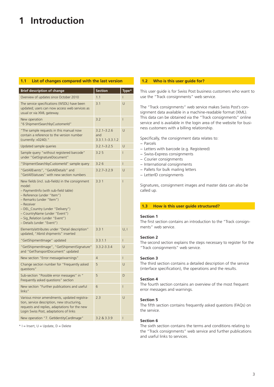## **1 Introduction**

### **1.1 List of changes compared with the last version**

| <b>Brief description of change</b>                                                                                                                                                                                                                                                                             | <b>Section</b>                                | Type*          |
|----------------------------------------------------------------------------------------------------------------------------------------------------------------------------------------------------------------------------------------------------------------------------------------------------------------|-----------------------------------------------|----------------|
| Overview of updates since October 2010                                                                                                                                                                                                                                                                         | 1.1                                           | T              |
| The service specifications (WSDL) have been<br>updated; users can now access web services as<br>usual or via XML gateway.                                                                                                                                                                                      | 3.1                                           | U              |
| New operation<br>"6 ShipmentSearchbyCustomerId"                                                                                                                                                                                                                                                                | 3.2                                           | $\overline{1}$ |
| "The sample requests in this manual now<br>contain a reference to the version number<br>(currently: v0240)."                                                                                                                                                                                                   | $3.2.1 - 3.2.6$<br>and<br>$3.3.1.1 - 3.3.1.2$ | U              |
| Updated sample queries                                                                                                                                                                                                                                                                                         | $3.2.1 - 3.2.5$                               | U              |
| Sample query "without registered barcode"<br>under "GetSignatureDocument"                                                                                                                                                                                                                                      | 3.25                                          | T              |
| "ShipmentSearchbyCustomerId" sample query                                                                                                                                                                                                                                                                      | 3.26                                          | L              |
| "GetAllEvents", "GetAllDetails" and<br>"GetAllStatuses" with new section numbers                                                                                                                                                                                                                               | $3.2.7 - 3.2.9$                               | U              |
| New fields (incl. sub-fields) in the consignment<br>model:<br>- PaymentInfo (with sub-field table)<br>- Reference (under "Item")<br>- Remarks (under "Item")<br>- Receiver<br>- DEL_Country (under "Delivery")<br>- CountryName (under "Event")<br>- Sig_Relation (under "Event")<br>- Details (under "Event") | 3.31                                          | $\overline{1}$ |
| Elements/attributes under "Detail description"<br>updated, "Abrid shipments" inserted                                                                                                                                                                                                                          | 3.31                                          | U, I           |
| "GetShipmentImage" updated                                                                                                                                                                                                                                                                                     | 3.3.1.1                                       | L              |
| "GetShipmentImage", "GetShipmentSignature"<br>and "GetTransportDocument" updated                                                                                                                                                                                                                               | $3.3.2 - 3.3.4$                               | U              |
| New section "Error message/warnings"                                                                                                                                                                                                                                                                           | 4                                             | L              |
| Change section number for "Frequently asked<br>questions"                                                                                                                                                                                                                                                      | 5                                             | U              |
| Sub-section "Possible error messages" in "<br>Frequently asked questions" section                                                                                                                                                                                                                              | 5                                             | D              |
| New section "Further publications and useful<br>links"                                                                                                                                                                                                                                                         | 6                                             | $\overline{1}$ |
| Various minor amendments, updated registra-<br>tion, service description, new structuring,<br>requests and replies, adaptations for the new<br>Login Swiss Post, adaptations of links                                                                                                                          | 2.3                                           | U              |
| New operation "7. GetIdentityCardImage"                                                                                                                                                                                                                                                                        | 3.2 & 3.3.9                                   | $\overline{1}$ |

 $*$  I = Insert,  $U =$  Update,  $D =$  Delete

### **1.2 Who is this user guide for?**

This user guide is for Swiss Post business customers who want to use the "Track consignments" web service.

The "Track consignments" web service makes Swiss Post's consignment data available in a machine-readable format (XML). This data can be obtained via the "Track consignments" online service and is available in the login area of the website for business customers with a billing relationship.

Specifically, the consignment data relates to:

- − Parcels
- − Letters with barcode (e.g. Registered)
- − Swiss-Express consignments
- − Courier consignments
- − International consignments
- − Pallets for bulk mailing letters
- − LetterID consignments

Signatures, consignment images and master data can also be called up.

### **1.3 How is this user guide structured?**

#### **Section 1**

The first section contains an introduction to the "Track consignments" web service.

#### **Section 2**

The second section explains the steps necessary to register for the "Track consignments" web service.

### **Section 3**

The third section contains a detailed description of the service (interface specification), the operations and the results.

### **Section 4**

The fourth section contains an overview of the most frequent error messages and warnings.

#### **Section 5**

The fifth section contains frequently asked questions (FAQs) on the service.

#### **Section 6**

The sixth section contains the terms and conditions relating to the "Track consignments" web service and further publications and useful links to services.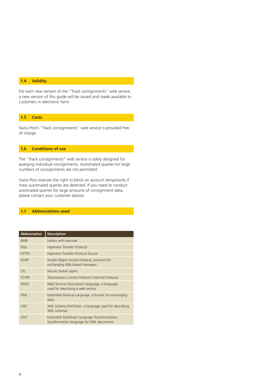### **1.4 Validity**

For each new version of the "Track consignments" web service, a new version of this guide will be issued and made available to customers in electronic form.

### **1.5 Costs**

Swiss Post's "Track consignments" web service is provided free of charge.

### **1.6 Conditions of use**

The "Track consignments" web service is solely designed for querying individual consignments. Automated queries for large numbers of consignments are not permitted.

Swiss Post reserves the right to block an account temporarily if mass automated queries are detected. If you need to conduct automated queries for large amounts of consignment data, please contact your customer advisor.

### **1.7 Abbreviations used**

| <b>Abbreviation</b> | <b>Description</b>                                                                           |
|---------------------|----------------------------------------------------------------------------------------------|
| <b>BMB</b>          | Letters with barcode                                                                         |
| http                | <b>Hypertext Transfer Protocol</b>                                                           |
| <b>HTTPS</b>        | <b>Hypertext Transfer Protocol Secure</b>                                                    |
| SOAP                | Simple Object Access Protocol, protocol for<br>exchanging XML-based messages                 |
| <b>SSL</b>          | Secure Socket Layers                                                                         |
| <b>TCP/IP</b>       | Transmission Control Protocol / Internet Protocol                                            |
| <b>WSDL</b>         | Web Services Description Language, a language<br>used for describing a web service           |
| <b>XML</b>          | Extensible Markup Language, a format for exchanging<br>data                                  |
| <b>XSD</b>          | XML Schema Definition, a language used for describing<br>XML schemas                         |
| <b>XSLT</b>         | Extensible Stylesheet Language Transformations,<br>transformation language for XML documents |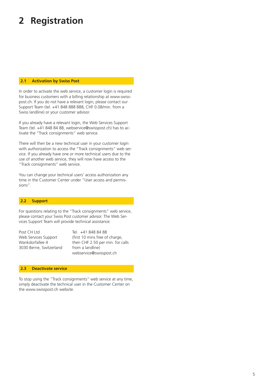## **2 Registration**

### **2.1 Activation by Swiss Post**

In order to activate the web service, a customer login is required for business customers with a billing relationship at www.swisspost.ch. If you do not have a relevant login, please contact our Support Team (tel. +41 848 888 888, CHF 0.08/min. from a Swiss landline) or your customer advisor.

If you already have a relevant login, the Web Services Support Team (tel. +41 848 84 88, webservice@swisspost.ch) has to activate the "Track consignments" web service.

There will then be a new technical user in your customer login with authorization to access the "Track consignments" web service. If you already have one or more technical users due to the use of another web service, they will now have access to the "Track consignments" web service.

You can change your technical users' access authorization any time in the Customer Center under "User access and permissions".

### **2.2 Support**

For questions relating to the "Track consignments" web service, please contact your Swiss Post customer advisor. The Web Services Support Team will provide technical assistance:

3030 Berne, Switzerland from a landline)

Post CH Ltd Tel. +41 848 84 88 Web Services Support (first 10 mins free of charge, Wankdorfallee 4 then CHF 2.50 per min. for calls webservice@swisspost.ch

### **2.3 Deactivate service**

To stop using the "Track consignments" web service at any time, simply deactivate the technical user in the Customer Center on the www.swisspost.ch website.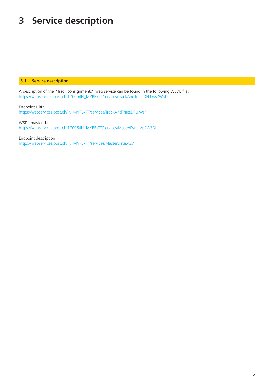## **3 Service description**

### **3.1 Service description**

A description of the "Track consignments" web service can be found in the following WSDL file: https://webservices.post.ch:17005/IN\_MYPBxTT/services/TrackAndTraceDFU.ws?WSDL

Endpoint URL: https://webservices.post.ch/IN\_MYPBxTT/services/TrackAndTraceDFU.ws?

WSDL master data: https://webservices.post.ch:17005/IN\_MYPBxTT/services/MasterData.ws?WSDL

Endpoint description: https://webservices.post.ch/IN\_MYPBxTT/services/MasterData.ws?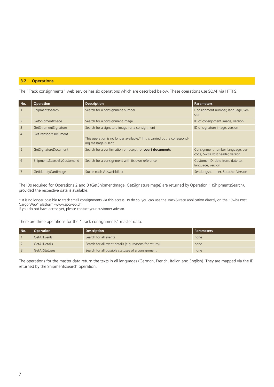### **3.2 Operations**

The "Track consignments" web service has six operations which are described below. These operations use SOAP via HTTPS.

| No.            | <b>Operation</b>            | <b>Description</b>                                                                                  | <b>Parameters</b>                                                      |
|----------------|-----------------------------|-----------------------------------------------------------------------------------------------------|------------------------------------------------------------------------|
|                | ShipmentsSearch             | Search for a consignment number                                                                     | Consignment number, language, ver-<br>sion                             |
| $\overline{2}$ | GetShipmentImage            | Search for a consignment image                                                                      | ID of consignment image, version                                       |
| $\overline{3}$ | GetShipmentSignature        | Search for a signature image for a consignment                                                      | ID of signature image, version                                         |
| $\overline{4}$ | GetTransportDocument        | This operation is no longer available.* If it is carried out, a correspond-<br>ing message is sent. |                                                                        |
| 5              | GetSignatureDocument        | Search for a confirmation of receipt for <b>court documents</b>                                     | Consignment number, language, bar-<br>code, Swiss Post header, version |
| 6              | ShipmentsSearchByCustomerId | Search for a consignment with its own reference                                                     | Customer ID, date from, date to,<br>language, version                  |
| 7              | GetIdentityCardImage        | Suche nach Ausweisbilder                                                                            | Sendungsnummer, Sprache, Version                                       |

The IDs required for Operations 2 and 3 (GetShipmentImage, GetSignatureImage) are returned by Operation 1 (ShipmentsSearch), provided the respective data is available.

\* It is no longer possible to track small consignments via this access. To do so, you can use the Track&Trace application directly on the "Swiss Post Cargo Web" platform (www.spcweb.ch).

If you do not have access yet, please contact your customer advisor.

There are three operations for the "Track consignments" master data:

| No. | <b>Operation</b>     | <b>Description</b>                                     | l Parameters |
|-----|----------------------|--------------------------------------------------------|--------------|
|     | <b>GetAllEvents</b>  | Search for all events                                  | none         |
|     | <b>GetAllDetails</b> | Search for all event details (e.g. reasons for return) | none         |
|     | GetAllStatuses       | Search for all possible statuses of a consignment      | none         |

The operations for the master data return the texts in all languages (German, French, Italian and English). They are mapped via the ID returned by the ShipmentsSearch operation.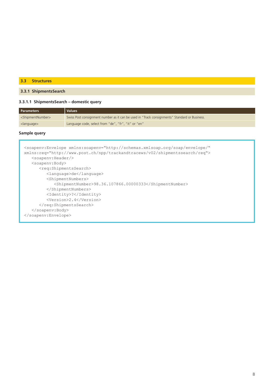### **3.3 Structures**

### **3.3.1 ShipmentsSearch**

### **3.3.1.1 ShipmentsSearch – domestic query**

| <b>Parameters</b>                 | Values <sup>1</sup>                                                                           |
|-----------------------------------|-----------------------------------------------------------------------------------------------|
| <shipmentnumber></shipmentnumber> | Swiss Post consignment number as it can be used in "Track consignments" Standard or Business. |
| <language></language>             | Language code, select from "de", "fr", "it" or "en"                                           |

### **Sample query**

```
<soapenv:Envelope xmlns:soapenv="http://schemas.xmlsoap.org/soap/envelope/" 
 xmlns:req="http://www.post.ch/npp/trackandtracews/v02/shipmentssearch/req">
     <soapenv:Header/>
     <soapenv:Body>
        <req:ShipmentsSearch>
           <language>de</language>
           <ShipmentNumbers>
               <ShipmentNumber>98.36.107866.00000333</ShipmentNumber>
           </ShipmentNumbers>
           <Identity>?</Identity>
           <Version>2.4</Version>
       </req:ShipmentsSearch>
     </soapenv:Body>
 </soapenv:Envelope>
Γ
```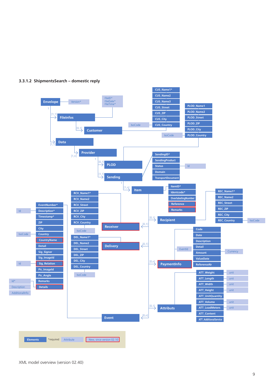

### **3.3.1.2 ShipmentsSearch – domestic reply**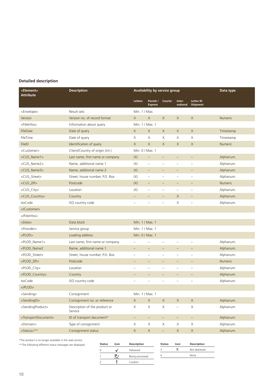### **Detailed description**

| <element><br/><b>Attribute</b></element>                                                                                                                                               | <b>Description</b>                       | Availability by service group |                             |                   |                          |                              | Data type      |
|----------------------------------------------------------------------------------------------------------------------------------------------------------------------------------------|------------------------------------------|-------------------------------|-----------------------------|-------------------|--------------------------|------------------------------|----------------|
|                                                                                                                                                                                        |                                          | <b>Letters</b>                | Parcels /<br><b>Express</b> | Courier           | Inter-<br>national       | <b>Letter ID</b><br>Shipment |                |
| <envelope></envelope>                                                                                                                                                                  | Result sets                              | Min. 1 / Max.                 |                             |                   |                          |                              |                |
| Version                                                                                                                                                                                | Version no. of record format             | X                             | X                           | X                 | X                        | $\times$                     | <b>Numeric</b> |
| <fileinfos></fileinfos>                                                                                                                                                                | Information about query                  | Min. 1 / Max. 1               |                             |                   |                          |                              |                |
| FileDate                                                                                                                                                                               | Date of query                            | X                             | X                           | X                 | X                        | X                            | Timestamp      |
| FileTime                                                                                                                                                                               | Date of query                            | X                             | Χ                           | Χ                 | Χ                        | X                            | Timestamp      |
| FileID                                                                                                                                                                                 | Identification of query                  | X                             | $\times$                    | X                 | X                        | $\times$                     | <b>Numeric</b> |
| <customer></customer>                                                                                                                                                                  | Client/Country of origin (int.)          | Min. 0 / Max. 1               |                             |                   |                          |                              |                |
| <cus_name1></cus_name1>                                                                                                                                                                | Last name, first name or company         | (X)                           | $\qquad \qquad -$           | $\qquad \qquad -$ |                          |                              | Alphanum.      |
| <cus_name2></cus_name2>                                                                                                                                                                | Name, additional name 1                  | (X)                           | $\qquad \qquad -$           | $\qquad \qquad$   | $\overline{\phantom{0}}$ |                              | Alphanum.      |
| <cus_name3></cus_name3>                                                                                                                                                                | Name, additional name 2                  | (X)                           | $\equiv$                    | $\qquad \qquad -$ | -                        | $\qquad \qquad -$            | Alphanum.      |
| <cus street=""></cus>                                                                                                                                                                  | Street, house number, P.O. Box           | (X)                           | $\equiv$                    | $\equiv$          | L.                       | $\overline{\phantom{0}}$     | Alphanum.      |
| <cus_zip></cus_zip>                                                                                                                                                                    | Postcode                                 | (X)                           |                             |                   |                          |                              | <b>Numeric</b> |
| <cus_city></cus_city>                                                                                                                                                                  | Location                                 | (X)                           | $\qquad \qquad -$           | $\qquad \qquad$   | $\qquad \qquad$          | $\overline{\phantom{0}}$     | Alphanum.      |
| <cus_country></cus_country>                                                                                                                                                            | Country                                  |                               |                             |                   | X                        |                              | Alphanum.      |
| <b>IsoCode</b>                                                                                                                                                                         | ISO country code                         | Ĭ.                            |                             |                   | Χ                        |                              | Alphanum.      |
|                                                                                                                                                                                        |                                          |                               |                             |                   |                          |                              |                |
|                                                                                                                                                                                        |                                          |                               |                             |                   |                          |                              |                |
| <data></data>                                                                                                                                                                          | Data block                               | Min. 1 / Max. 1               |                             |                   |                          |                              |                |
| <provider></provider>                                                                                                                                                                  | Service group                            | Min. 1 / Max. 1               |                             |                   |                          |                              |                |
| $<$ PLOD $>$                                                                                                                                                                           | Loading address                          | Min. 0 / Max. 1               |                             |                   |                          |                              |                |
| <plod_name1></plod_name1>                                                                                                                                                              | Last name, first name or company         | $\overline{\phantom{0}}$      | $\qquad \qquad -$           |                   | $\overline{\phantom{0}}$ | $\overline{\phantom{0}}$     | Alphanum.      |
| <plod_name2< td=""><td>Name, additional name 1</td><td><math>\equiv</math></td><td><math display="block">\equiv</math></td><td></td><td></td><td></td><td>Alphanum.</td></plod_name2<> | Name, additional name 1                  | $\equiv$                      | $\equiv$                    |                   |                          |                              | Alphanum.      |
| <plod_street></plod_street>                                                                                                                                                            | Street, house number, P.O. Box           |                               | $\overline{\phantom{0}}$    |                   | -                        |                              | Alphanum.      |
| <plod_zip></plod_zip>                                                                                                                                                                  | Postcode                                 |                               | $\qquad \qquad -$           | $\qquad \qquad -$ | $\qquad \qquad -$        |                              | <b>Numeric</b> |
| <plod_city></plod_city>                                                                                                                                                                | Location                                 |                               | $\overline{\phantom{0}}$    | ÷                 | $\overline{\phantom{0}}$ |                              | Alphanum.      |
| <plod_country></plod_country>                                                                                                                                                          | Country                                  |                               |                             |                   | $\overline{\phantom{0}}$ |                              | Alphanum.      |
| <b>IsoCode</b>                                                                                                                                                                         | ISO country code                         | $\overline{a}$                |                             |                   | $\overline{\phantom{0}}$ |                              | Alphanum.      |
| $<$ /PLOD $>$                                                                                                                                                                          |                                          |                               |                             |                   |                          |                              |                |
| <sending></sending>                                                                                                                                                                    | Consignment                              | Min. 1 / Max. 1               |                             |                   |                          |                              |                |
| <sendingid></sendingid>                                                                                                                                                                | Consignment no. or reference             | $\mathsf X$                   | $\mathsf X$                 | $\mathsf X$       | $\mathsf X$              | $\mathsf X$                  | Alphanum.      |
| <sendingproduct></sendingproduct>                                                                                                                                                      | Description of the product or<br>Service | X                             | $\mathsf X$                 | $\mathsf X$       | $\overline{\phantom{0}}$ | $\mathsf X$                  | Alphanum.      |
| <transportdocument></transportdocument>                                                                                                                                                | ID of transport document*                | $\equiv$                      | $\equiv$                    | $\equiv$          | $\equiv$                 | $\equiv$                     | Alphanum.      |
| <domain></domain>                                                                                                                                                                      | Type of consignment                      | X                             | X                           | X                 | X                        | X                            | Alphanum.      |
| <status>**</status>                                                                                                                                                                    | Consignment status                       | $\mathsf X$                   | $\mathsf X$                 | $\qquad \qquad -$ | $\mathsf X$              | $\mathsf X$                  | Alphanum.      |

\*The product is no longer available in the web service.

\*\*The following different status messages are displayed:

| <b>Status</b> | Icon | Description      | <b>Status</b> | Icon | Description   |
|---------------|------|------------------|---------------|------|---------------|
|               |      | <b>Delivered</b> |               |      | Not delivered |
|               |      | Being processed  |               |      | None          |
|               |      | Caution          |               |      |               |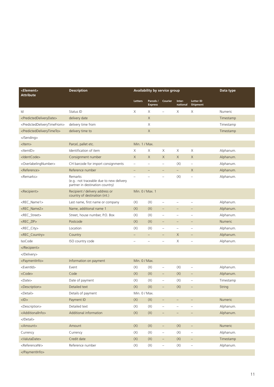| <element><br/><b>Attribute</b></element>                | <b>Description</b>                                                                     | Availability by service group |                             |                                   |                          |                              | Data type      |
|---------------------------------------------------------|----------------------------------------------------------------------------------------|-------------------------------|-----------------------------|-----------------------------------|--------------------------|------------------------------|----------------|
|                                                         |                                                                                        | Letters                       | Parcels /<br><b>Express</b> | Courier                           | Inter-<br>national       | <b>Letter ID</b><br>Shipment |                |
| Id                                                      | Status ID                                                                              | X                             | X                           |                                   | X                        | X                            | <b>Numeric</b> |
| <predicteddeliverydate></predicteddeliverydate>         | delivery date                                                                          |                               | X                           |                                   |                          |                              | Timestamp      |
| <predicteddeliverytimefrom></predicteddeliverytimefrom> | delivery time from                                                                     |                               | Χ                           |                                   |                          |                              | Timestamp      |
| <predicteddeliverytimeto></predicteddeliverytimeto>     | delivery time to                                                                       |                               | $\mathsf X$                 |                                   |                          |                              | Timestamp      |
|                                                         |                                                                                        |                               |                             |                                   |                          |                              |                |
| <ltem></ltem>                                           | Parcel, pallet etc.                                                                    | Min. 1 / Max.                 |                             |                                   |                          |                              |                |
| <ltemid></ltemid>                                       | Identification of item                                                                 | Χ                             | Χ                           | Χ                                 | Χ                        | Χ                            | Alphanum.      |
| <identcode></identcode>                                 | Consignment number                                                                     | $\times$                      | X                           | X                                 | $\mathsf X$              | $\times$                     | Alphanum.      |
| <overlabelingnumber></overlabelingnumber>               | CH barcode for import consignments                                                     | $\overline{\phantom{0}}$      | $\overline{\phantom{0}}$    | $\qquad \qquad -$                 | (X)                      | $\frac{1}{2}$                | Alphanum.      |
| <reference></reference>                                 | Reference number                                                                       | $\qquad \qquad -$             | $\qquad \qquad -$           | $\qquad \qquad -$                 | $\equiv$                 | X                            | Alphanum.      |
| <remarks></remarks>                                     | Remarks<br>(e.g.: not traceable due to new delivery<br>partner in destination country) |                               |                             |                                   | (X)                      |                              | Alphanum.      |
| <recipient></recipient>                                 | Recipient / delivery address or<br>country of destination (int.)                       | Min. 0 / Max. 1               |                             |                                   |                          |                              |                |
| <rec_name1></rec_name1>                                 | Last name, first name or company                                                       | (X)                           | (X)                         |                                   |                          |                              | Alphanum.      |
| <rec_name2></rec_name2>                                 | Name, additional name 1                                                                | (X)                           | $(\mathsf{X})$              |                                   |                          |                              | Alphanum.      |
| <rec_street></rec_street>                               | Street, house number, P.O. Box                                                         | (X)                           | (X)                         | $\overline{\phantom{0}}$          | $\overline{\phantom{m}}$ | $\overline{\phantom{0}}$     | Alphanum.      |
| <rec_zip></rec_zip>                                     | Postcode                                                                               | (X)                           | (X)                         |                                   |                          |                              | <b>Numeric</b> |
| <rec_city></rec_city>                                   | Location                                                                               | (X)                           | (X)                         | $\qquad \qquad -$                 | $\qquad \qquad -$        |                              | Alphanum.      |
| <rec_country></rec_country>                             | Country                                                                                | $\overline{a}$                | $\equiv$                    | $\overline{\phantom{0}}$          | X                        | $\overline{\phantom{0}}$     | Alphanum.      |
| <b>IsoCode</b>                                          | ISO country code                                                                       | $\overline{\phantom{0}}$      |                             |                                   | Χ                        |                              | Alphanum.      |
|                                                         |                                                                                        |                               |                             |                                   |                          |                              |                |
|                                                         |                                                                                        |                               |                             |                                   |                          |                              |                |
| <paymentinfo></paymentinfo>                             | Information on payment                                                                 | Min. 0 / Max.                 |                             |                                   |                          |                              |                |
| <eventid></eventid>                                     | Event                                                                                  | (X)                           | (X)                         | $\qquad \qquad -$                 | (X)                      | $\overline{\phantom{0}}$     | Alphanum.      |
| <code></code>                                           | Code                                                                                   | (X)                           | (X)                         | $\qquad \qquad -$                 | (X)                      | $\overline{\phantom{0}}$     | Alphanum.      |
| <date></date>                                           | Date of payment                                                                        | (X)                           | (X)                         | $\hspace{1.0cm} - \hspace{1.0cm}$ | (X)                      | -                            | Timestamp      |
| <description></description>                             | Detailed text                                                                          | (X)                           | (X)                         | $\overline{\phantom{0}}$          | (X)                      |                              | String         |
| <detail></detail>                                       | Details of payment                                                                     | Min. 0 / Max.                 |                             |                                   |                          |                              |                |
| $<$ l $D$ >                                             | Payment ID                                                                             | (X)                           | $(\mathsf{X})$              | $\qquad \qquad -$                 | $\qquad \qquad -$        |                              | Numeric        |
| <description></description>                             | Detailed text                                                                          | $(\mathsf{X})$                | $(\mathsf{X})$              | $\equiv$                          | $\equiv$                 | $\equiv$                     | Alphanum.      |
| <additionalinfo></additionalinfo>                       | Additional information                                                                 | $(\mathsf{X})$                | $(\mathsf{X})$              | $\qquad \qquad -$                 | $\overline{\phantom{m}}$ | $\overline{\phantom{a}}$     | Alphanum.      |
|                                                         |                                                                                        |                               |                             |                                   |                          |                              |                |
| <amount></amount>                                       | Amount                                                                                 | (X)                           | $(\mathsf{X})$              | $\qquad \qquad -$                 | $(\mathsf{X})$           | $\overline{\phantom{a}}$     | Numeric        |
| Currency                                                | Currency                                                                               | (X)                           | $(\mathsf{X})$              | $\qquad \qquad -$                 | (X)                      | $\overline{\phantom{a}}$     | Alphanum.      |
| <valutadate></valutadate>                               | Credit date                                                                            | (X)                           | $(\mathsf{X})$              | $\overline{\phantom{a}}$          | $(\mathsf{X})$           | $\overline{\phantom{a}}$     | Timestamp      |
| <referencenr></referencenr>                             | Reference number                                                                       | (X)                           | (X)                         | $\qquad \qquad -$                 | (X)                      | -                            | Alphanum.      |
|                                                         |                                                                                        |                               |                             |                                   |                          |                              |                |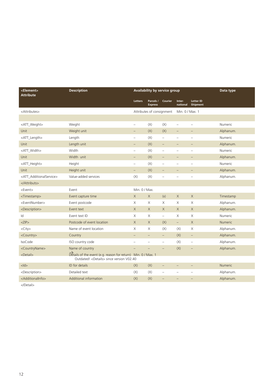| <element><br/><b>Attribute</b></element> | <b>Description</b>                                                                                                  | Availability by service group |                             |                          |                          | Data type                    |                |
|------------------------------------------|---------------------------------------------------------------------------------------------------------------------|-------------------------------|-----------------------------|--------------------------|--------------------------|------------------------------|----------------|
|                                          |                                                                                                                     | <b>Letters</b>                | Parcels /<br><b>Express</b> | <b>Courier</b>           | Inter-<br>national       | <b>Letter ID</b><br>Shipment |                |
| <attributes></attributes>                |                                                                                                                     |                               | Attributes of consignment   |                          | Min. 0 / Max. 1          |                              |                |
|                                          |                                                                                                                     |                               |                             |                          |                          |                              |                |
| <att_weight></att_weight>                | Weight                                                                                                              | $\overline{\phantom{0}}$      | (X)                         | (X)                      | $\qquad \qquad -$        | $\overline{\phantom{m}}$     | Numeric        |
| Unit                                     | Weight unit                                                                                                         |                               | (X)                         | (X)                      |                          |                              | Alphanum.      |
| <att_length></att_length>                | Length                                                                                                              | $\overline{a}$                | (X)                         | $\qquad \qquad -$        | $\overline{\phantom{0}}$ |                              | Numeric        |
| Unit                                     | Length unit                                                                                                         | ÷                             | (X)                         | $\overline{\phantom{0}}$ | $\overline{\phantom{0}}$ |                              | Alphanum.      |
| <att_width></att_width>                  | Width                                                                                                               | $\qquad \qquad -$             | (X)                         | $\overline{\phantom{0}}$ | $\overline{\phantom{0}}$ | $\overline{\phantom{0}}$     | Numeric        |
| Unit                                     | Width unit                                                                                                          | $\overline{\phantom{0}}$      | (X)                         |                          |                          |                              | Alphanum.      |
| <att_height></att_height>                | Height                                                                                                              | $\qquad \qquad -$             | (X)                         | $\overline{\phantom{0}}$ | $\overline{\phantom{0}}$ | $\frac{1}{2}$                | Numeric        |
| Unit                                     | Height unit                                                                                                         | $\overline{\phantom{0}}$      | (X)                         |                          |                          |                              | Alphanum.      |
| <att additionalservice=""></att>         | Value-added services                                                                                                | (X)                           | (X)                         | $\overline{\phantom{0}}$ | $\overline{\phantom{0}}$ | $\overline{\phantom{m}}$     | Alphanum.      |
|                                          |                                                                                                                     |                               |                             |                          |                          |                              |                |
| <event></event>                          | Event                                                                                                               | Min. 0 / Max.                 |                             |                          |                          |                              |                |
| <timestamp></timestamp>                  | Event capture time                                                                                                  | $\times$                      | X                           | (x)                      | $\times$                 | X                            | Timestamp      |
| <eventnumber></eventnumber>              | Event postcode                                                                                                      | $\times$                      | X                           | X                        | Χ                        | X                            | Alphanum.      |
| <description></description>              | Event text                                                                                                          | $\times$                      | X                           | $\mathsf X$              | $\mathsf X$              | X                            | Alphanum.      |
| Id                                       | Event text ID                                                                                                       | $\times$                      | X                           | $\overline{\phantom{0}}$ | X                        | X                            | Numeric        |
| ZIP                                      | Postcode of event location                                                                                          | $\times$                      | $\times$                    | (X)                      | $\equiv$                 | $\times$                     | <b>Numeric</b> |
| $<$ City $>$                             | Name of event location                                                                                              | Χ                             | Χ                           | (X)                      | (X)                      | Χ                            | Alphanum.      |
| <country></country>                      | Country                                                                                                             |                               | $\qquad \qquad -$           | $\qquad \qquad -$        | (X)                      | $\qquad \qquad -$            | Alphanum.      |
| <b>IsoCode</b>                           | ISO country code                                                                                                    | Ē.                            | $\overline{\phantom{0}}$    | $\qquad \qquad -$        | (X)                      | $\overline{\phantom{m}}$     | Alphanum.      |
| <countryname></countryname>              | Name of country                                                                                                     |                               |                             |                          | (X)                      |                              | Alphanum.      |
| <detail></detail>                        | Details of the event (e.g. reason for return) Min. 0 / Max. 1<br>Outdated! <details> since version V02.40</details> |                               |                             |                          |                          |                              |                |
| $<$ ld $>$                               | <b>ID</b> for details                                                                                               | (X)                           | (X)                         | $\overline{\phantom{0}}$ | $\overline{\phantom{0}}$ | $\overline{\phantom{0}}$     | <b>Numeric</b> |
| <description></description>              | Detailed text                                                                                                       | (X)                           | (X)                         | $\overline{\phantom{0}}$ | $\equiv$                 |                              | Alphanum.      |
| <additionalinfo></additionalinfo>        | Additional information                                                                                              | (X)                           | (X)                         | $\overline{\phantom{0}}$ | $\overline{\phantom{0}}$ |                              | Alphanum.      |

</Detail>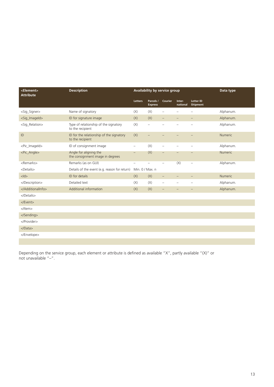| <element><br/><b>Attribute</b></element> | <b>Description</b>                                           | <b>Availability by service group</b> |                             |                          | Data type          |                              |                |
|------------------------------------------|--------------------------------------------------------------|--------------------------------------|-----------------------------|--------------------------|--------------------|------------------------------|----------------|
|                                          |                                                              | <b>Letters</b>                       | Parcels /<br><b>Express</b> | Courier                  | Inter-<br>national | <b>Letter ID</b><br>Shipment |                |
| <sig_signer></sig_signer>                | Name of signatory                                            | (X)                                  | (X)                         |                          |                    |                              | Alphanum.      |
| <sig_imageid></sig_imageid>              | ID for signature image                                       | (X)                                  | (X)                         | $\overline{\phantom{0}}$ |                    |                              | Alphanum.      |
| <sig_relation></sig_relation>            | Type of relationship of the signatory<br>to the recipient    | (X)                                  | $\overline{\phantom{m}}$    |                          |                    |                              | Alphanum.      |
| ID                                       | ID for the relationship of the signatory<br>to the recipient | (X)                                  |                             |                          |                    |                              | <b>Numeric</b> |
| <pic_imageid></pic_imageid>              | ID of consignment image                                      | $\qquad \qquad -$                    | (X)                         |                          |                    |                              | Alphanum.      |
| <pic_angle></pic_angle>                  | Angle for aligning the<br>the consignment image in degrees   | $\overline{\phantom{0}}$             | (X)                         |                          |                    |                              | Numeric        |
| <remarks></remarks>                      | Remarks (as on GUI)                                          | ÷                                    |                             |                          | (X)                |                              | Alphanum.      |
| <details></details>                      | Details of the event (e.g. reason for return)                | Min. 0 / Max. n                      |                             |                          |                    |                              |                |
| $<$ ld $>$                               | ID for details                                               | (X)                                  | (X)                         |                          |                    |                              | <b>Numeric</b> |
|                                          | Detailed text                                                | (X)                                  | (X)                         |                          |                    |                              | Alphanum.      |
|                                          | Additional information                                       | (X)                                  | (X)                         | $\qquad \qquad -$        |                    |                              | Alphanum.      |
|                                          |                                                              |                                      |                             |                          |                    |                              |                |
| $<$ /Event $>$                           |                                                              |                                      |                             |                          |                    |                              |                |
|                                          |                                                              |                                      |                             |                          |                    |                              |                |
|                                          |                                                              |                                      |                             |                          |                    |                              |                |
|                                          |                                                              |                                      |                             |                          |                    |                              |                |
|                                          |                                                              |                                      |                             |                          |                    |                              |                |
|                                          |                                                              |                                      |                             |                          |                    |                              |                |

Depending on the service group, each element or attribute is defined as available "X", partly available "(X)" or not unavailable "–".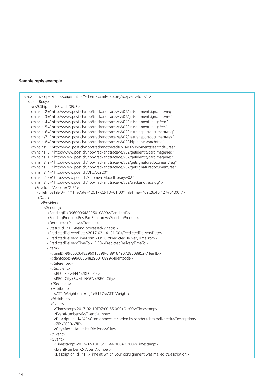### **Sample reply example**

```
<soap:Envelope xmlns:soap="http://schemas.xmlsoap.org/soap/envelope/">
  <soap:Body>
    <ns9:ShipmentsSearchDFURes
    xmlns:ns2="http://www.post.ch/npp/trackandtracews/v02/getshipmentsignature/req"
    xmlns:ns3="http://www.post.ch/npp/trackandtracews/v02/getshipmentsignature/res"
    xmlns:ns4="http://www.post.ch/npp/trackandtracews/v02/getshipmentimage/req"
    xmlns:ns5="http://www.post.ch/npp/trackandtracews/v02/getshipmentimage/res"
    xmlns:ns6="http://www.post.ch/npp/trackandtracews/v02/gettransportdocument/req"
    xmlns:ns7="http://www.post.ch/npp/trackandtracews/v02/gettransportdocument/res"
    xmlns:ns8="http://www.post.ch/npp/trackandtracews/v02/shipmentssearch/req"
    xmlns:ns9="http://www.post.ch/npp/trackandtracedfuws/v02/shipmentssearchdfu/res"
    xmlns:ns10="http://www.post.ch/npp/trackandtracews/v02/getidentitycardimage/req"
    xmlns:ns11="http://www.post.ch/npp/trackandtracews/v02/getidentitycardimage/res"
    xmlns:ns12="http://www.post.ch/npp/trackandtracews/v02/getsignaturedocument/req"
    xmlns:ns13="http://www.post.ch/npp/trackandtracews/v02/getsignaturedocument/res"
    xmlns:ns14="http://www.post.ch/DFU/v0220"
    xmlns:ns15="http://www.post.ch/ShipmentModelLibrary/v02"
    xmlns:ns16="http://www.post.ch/npp/trackandtracews/v02/trackandtracelog">
      <Envelope Version="2.5">
        <FileInfos FileID="1" FileDate="2017-02-13+01:00" FileTime="09:26:40.127+01:00"/>
        <Data>
         <Provider>
           <Sending>
             <SendingID>996000648296010899</SendingID>
             <SendingProduct>PostPac Economy</SendingProduct>
             <Domain>sirPadasa</Domain>
             <Status Id="1">Being processed</Status>
             <PredictedDeliveryDate>2017-02-14+01:00</PredictedDeliveryDate>
             <PredictedDeliveryTimeFrom>09:30</PredictedDeliveryTimeFrom>
             <PredictedDeliveryTimeTo>13:30</PredictedDeliveryTimeTo>
             <Item>
               <ItemID>996000648296010899-0.8918490728508852</ItemID>
               <Identcode>996000648296010899</Identcode>
               <Reference/>
               <Recipient>
                 <REC_ZIP>4444</REC_ZIP>
                 <REC_City>RÜMLINGEN</REC_City>
               </Recipient>
               <Attributs>
                 <ATT_Weight unit="g">5177</ATT_Weight>
               </Attributs>
               <Event>
                 <Timestamp>2017-02-10T07:00:55.000+01:00</Timestamp>
                <EventNumber>6</EventNumber>
                <Description Id="4">Consignment recorded by sender (data delivered)</Description>
                <ZIP>3030</ZIP>
                <City>Bern Hauptsitz Die Post</City>
               </Event>
               <Event>
                 <Timestamp>2017-02-10T15:33:44.000+01:00</Timestamp>
                <EventNumber>2</EventNumber>
                <Description Id="1">Time at which your consignment was mailed</Description>
```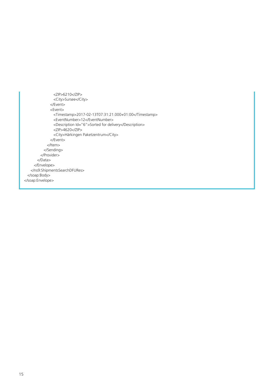<ZIP>6210</ZIP> <City>Sursee</City> </Event> <Event> <Timestamp>2017-02-13T07:31:21.000+01:00</Timestamp> <EventNumber>12</EventNumber> <Description Id="6">Sorted for delivery</Description>  $<$ ZIP>4620 $<$ /ZIP> <City>Härkingen Paketzentrum</City> </Event> </Item> </Sending> </Provider> </Data> </Envelope> </ns9:ShipmentsSearchDFURes> </soap:Body> </soap:Envelope>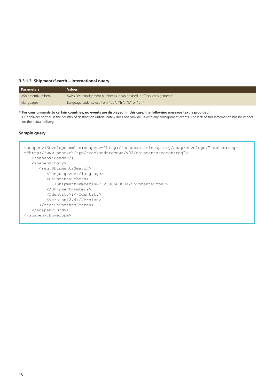### **3.3.1.3 ShipmentsSearch – international query**

| <b>Parameters</b>                 | <b>Values</b>                                                              |
|-----------------------------------|----------------------------------------------------------------------------|
| <shipmentnumber></shipmentnumber> | Swiss Post consignment number as it can be used in "Track consignments" 1) |
| <language></language>             | Language code, select from "de", "fr", "it" or "en"                        |

 $^{\rm 1)}$  For consignments to certain countries, no events are displayed. In this case, the following message text is provided: Our delivery partner in the country of destination unfortunately does not provide us with any consignment events. The lack of this information has no impact on the actual delivery.

### **Sample query**

| <soapenv:envelope th="" xmlns:req-<="" xmlns:soapenv="http://schemas.xmlsoap.org/soap/envelope/"></soapenv:envelope> |
|----------------------------------------------------------------------------------------------------------------------|
| ="http://www.post.ch/npp/trackandtracews/v02/shipmentssearch/req">                                                   |
| $<$ soapenv: Header/>                                                                                                |
| <soapenv:body></soapenv:body>                                                                                        |
| <req:shipmentssearch></req:shipmentssearch>                                                                          |
| <language>de</language>                                                                                              |
| <shipmentnumbers></shipmentnumbers>                                                                                  |
| <shipmentnumber>RN732608600CH</shipmentnumber>                                                                       |
|                                                                                                                      |
| <identity>?</identity>                                                                                               |
| <version>2.4</version>                                                                                               |
|                                                                                                                      |
| $\langle$ /soapenv:Body>                                                                                             |
| $\langle$ /soapenv:Envelope>                                                                                         |
|                                                                                                                      |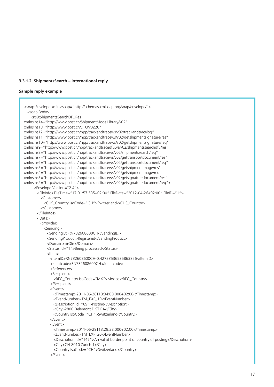### **3.3.1.2 ShipmentsSearch – international reply**

### **Sample reply example**

```
<soap:Envelope xmlns:soap="http://schemas.xmlsoap.org/soap/envelope/">
  <soap:Body>
    <ns9:ShipmentsSearchDFURes 
xmlns:ns14="http://www.post.ch/ShipmentModelLibrary/v02" 
xmlns:ns13="http://www.post.ch/DFU/v0220" 
xmlns:ns12="http://www.post.ch/npp/trackandtracews/v02/trackandtracelog" 
xmlns:ns11="http://www.post.ch/npp/trackandtracews/v02/getshipmentsignature/res" 
xmlns:ns10="http://www.post.ch/npp/trackandtracews/v02/getshipmentsignature/req" 
xmlns:ns9="http://www.post.ch/npp/trackandtracedfuws/v02/shipmentssearchdfu/res" 
xmlns:ns8="http://www.post.ch/npp/trackandtracews/v02/shipmentssearch/req" 
xmlns:ns7="http://www.post.ch/npp/trackandtracews/v02/gettransportdocument/res" 
xmlns:ns6="http://www.post.ch/npp/trackandtracews/v02/gettransportdocument/req" 
xmlns:ns5="http://www.post.ch/npp/trackandtracews/v02/getshipmentimage/res" 
xmlns:ns4="http://www.post.ch/npp/trackandtracews/v02/getshipmentimage/req" 
xmlns:ns3="http://www.post.ch/npp/trackandtracews/v02/getsignaturedocument/res" 
xmlns:ns2="http://www.post.ch/npp/trackandtracews/v02/getsignaturedocument/req">
      <Envelope Version="2.4">
        <FileInfos FileTime="17:01:57.535+02:00" FileDate="2012-04-26+02:00" FileID="1">
         <Customer>
           <CUS_Country IsoCode="CH">Switzerland</CUS_Country>
         </Customer>
        </FileInfos>
        <Data>
         <Provider>
            <Sending>
             <SendingID>RN732608600CH</SendingID>
             <SendingProduct>Registered</SendingProduct>
             <Domain>sirOlis</Domain>
             <Status Id="1">Being processed</Status>
             <Item>
               <ItemID>RN732608600CH-0.42723536535863826</ItemID>
               <Identcode>RN732608600CH</Identcode>
               <Reference/>
               <Recipient>
                 <REC_Country IsoCode="MX">Mexico</REC_Country>
               </Recipient>
               <Event>
                 <Timestamp>2011-06-28T18:34:00.000+02:00</Timestamp>
                 <EventNumber>ITM_EXP_10</EventNumber>
                 <Description Id="89">Posting</Description>
                 <City>2800 Delémont DIST BA</City>
                 <Country IsoCode="CH">Switzerland</Country>
               </Event>
               <Event>
                 <Timestamp>2011-06-29T13:29:38.000+02:00</Timestamp>
                 <EventNumber>ITM_EXP_20</EventNumber>
                 <Description Id="147">Arrival at border point of country of posting</Description>
                 <City>CH-8010 Zurich 1</City>
                 <Country IsoCode="CH">Switzerland</Country>
               </Event>
```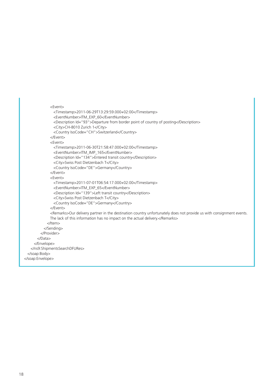```
 <Event>
                 <Timestamp>2011-06-29T13:29:59.000+02:00</Timestamp>
                 <EventNumber>ITM_EXP_60</EventNumber>
                 <Description Id="93">Departure from border point of country of posting</Description>
                 <City>CH-8010 Zurich 1</City>
                 <Country IsoCode="CH">Switzerland</Country>
               </Event>
               <Event>
                 <Timestamp>2011-06-30T21:58:47.000+02:00</Timestamp>
                 <EventNumber>ITM_IMP_165</EventNumber>
                 <Description Id="134">Entered transit country</Description>
                 <City>Swiss Post Dietzenbach T</City>
                 <Country IsoCode="DE">Germany</Country>
               </Event>
               <Event>
                 <Timestamp>2011-07-01T06:54:17.000+02:00</Timestamp>
                 <EventNumber>ITM_EXP_65</EventNumber>
                 <Description Id="139">Left transit country</Description>
                 <City>Swiss Post Dietzenbach T</City>
                 <Country IsoCode="DE">Germany</Country>
               </Event>
               <Remarks>Our delivery partner in the destination country unfortunately does not provide us with consignment events. 
               The lack of this information has no impact on the actual delivery.</Remarks>
             </Item>
           </Sending>
          </Provider>
        </Data>
      </Envelope>
    </ns9:ShipmentsSearchDFURes>
  </soap:Body>
</soap:Envelope>
```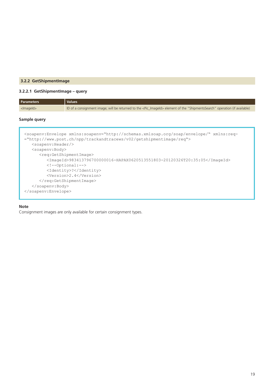### **3.2.2 GetShipmentImage**

### **3.2.2.1 GetShipmentImage – query**

| <b>Parameters</b> | <b>Values</b>                                                                                                                            |
|-------------------|------------------------------------------------------------------------------------------------------------------------------------------|
| $<$ ImageId $>$   | ID of a consignment image; will be returned to the <pic_imageid> element of the "ShipmentsSearch" operation (if available)</pic_imageid> |

### **Sample query**

```
<soapenv:Envelope xmlns:soapenv="http://schemas.xmlsoap.org/soap/envelope/" xmlns:req-
="http://www.post.ch/npp/trackandtracews/v02/getshipmentimage/req">
   <soapenv:Header/>
   <soapenv:Body>
       <req:GetShipmentImage>
          <ImageId>983413796700000016-HAPAX0620513551803-20120326T20:35:05</ImageId>
          <!--Optional:-->
          <Identity>?</Identity>
          <Version>2.4</Version>
      </req:GetShipmentImage>
    </soapenv:Body>
</soapenv:Envelope>
```
### **Note**

Consignment images are only available for certain consignment types.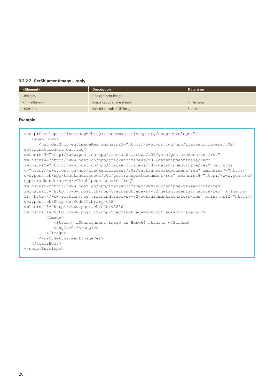### **3.2.2.2 GetShipmentImage – reply**

| <element></element>     | <b>Description</b>       | Data type |
|-------------------------|--------------------------|-----------|
| $<$ mage $>$            | Consignment image        |           |
| <timestamp></timestamp> | Image capture time stamp | Timestamp |
| <stream></stream>       | Base64 encoded GIF image | Stream    |

### **Example**

<soap:Envelope xmlns:soap="http://schemas.xmlsoap.org/soap/envelope/"> <soap:Body> <ns5:GetShipmentImageRes xmlns:ns2="http://www.post.ch/npp/trackandtracews/v02/ getsignaturedocument/req" xmlns:ns3="http://www.post.ch/npp/trackandtracews/v02/getsignaturedocument/res" xmlns:ns4="http://www.post.ch/npp/trackandtracews/v02/getshipmentimage/req" xmlns:ns5="http://www.post.ch/npp/trackandtracews/v02/getshipmentimage/res" xmlns:ns-6="http://www.post.ch/npp/trackandtracews/v02/gettransportdocument/req" xmlns:ns7="http:// www.post.ch/npp/trackandtracews/v02/gettransportdocument/res" xmlns:ns8="http://www.post.ch/ npp/trackandtracews/v02/shipmentssearch/req" xmlns:ns9="http://www.post.ch/npp/trackandtracedfuws/v02/shipmentssearchdfu/res" xmlns:ns10="http://www.post.ch/npp/trackandtracews/v02/getshipmentsignature/req" xmlns:ns-11="http://www.post.ch/npp/trackandtracews/v02/getshipmentsignature/res" xmlns:ns12="http:// www.post.ch/ShipmentModelLibrary/v02" xmlns:ns13="http://www.post.ch/DFU/v0220" xmlns:ns14="http://www.post.ch/npp/trackandtracews/v02/trackandtracelog">  $<$ Tmage> <Stream> …Consignment image as Base64 stream… </Stream> <angle>0.0</angle> </Image> </ns5:GetShipmentImageRes> </soap:Body> </soap:Envelope>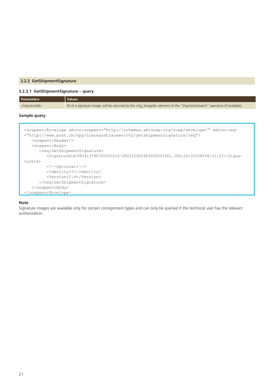### **3.2.2 GetShipmentSignature**

### **3.2.3.1 GetShipmentSignature – query**

| <b>Parameters</b>                                      | <b>Values</b>                                                                                                                                                                                                                                                                                                                                      |  |  |
|--------------------------------------------------------|----------------------------------------------------------------------------------------------------------------------------------------------------------------------------------------------------------------------------------------------------------------------------------------------------------------------------------------------------|--|--|
| <signatureid></signatureid>                            | ID of a signature image; will be returned to the <sig_imageid> element of the "ShipmentsSearch" operation (if available)</sig_imageid>                                                                                                                                                                                                             |  |  |
| Sample query                                           |                                                                                                                                                                                                                                                                                                                                                    |  |  |
| $<$ soapenv: Header/><br><soapenv:body></soapenv:body> | <soapenv:envelope xmlns:req-<br="" xmlns:soapenv="http://schemas.xmlsoap.org/soap/envelope/">="http://www.post.ch/npp/trackandtracews/v02/qetshipmentsignature/req"&gt;<br/><reg:getshipmentsignature><br/><signatureid>983413796700000016-280312600405005001601.JPG-20120328T08:21:23</signatureid></reg:getshipmentsignature></soapenv:envelope> |  |  |
| tureId>                                                |                                                                                                                                                                                                                                                                                                                                                    |  |  |
|                                                        | $\langle$ !--Optional:-->                                                                                                                                                                                                                                                                                                                          |  |  |
| <identity>?</identity>                                 |                                                                                                                                                                                                                                                                                                                                                    |  |  |
| <version>2.4</version>                                 |                                                                                                                                                                                                                                                                                                                                                    |  |  |
|                                                        |                                                                                                                                                                                                                                                                                                                                                    |  |  |
| $\langle$ /soapenv:Body>                               |                                                                                                                                                                                                                                                                                                                                                    |  |  |
|                                                        |                                                                                                                                                                                                                                                                                                                                                    |  |  |

### **Note**

Signature images are available only for certain consignment types and can only be queried if the technical user has the relevant authorization.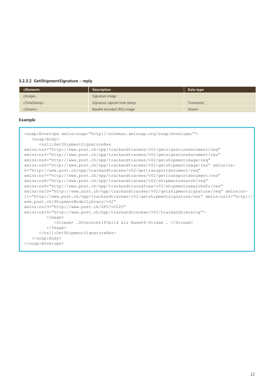### **3.2.3.2 GetShipmentSignature – reply**

| <element></element>     | <b>Description</b>           | Data type |
|-------------------------|------------------------------|-----------|
| $<$ mage $>$            | Signature image              |           |
| <timestamp></timestamp> | Signature capture time stamp | Timestamp |
| <stream></stream>       | Base64 encoded JPEG image    | Stream    |

```
<soap:Envelope xmlns:soap="http://schemas.xmlsoap.org/soap/envelope/">
   <soap:Body>
       <ns11:GetShipmentSignatureRes 
xmlns:ns2="http://www.post.ch/npp/trackandtracews/v02/getsignaturedocument/req" 
xmlns:ns3="http://www.post.ch/npp/trackandtracews/v02/getsignaturedocument/res" 
xmlns:ns4="http://www.post.ch/npp/trackandtracews/v02/getshipmentimage/req" 
xmlns:ns5="http://www.post.ch/npp/trackandtracews/v02/getshipmentimage/res" xmlns:ns-
6="http://www.post.ch/npp/trackandtracews/v02/gettransportdocument/req" 
xmlns:ns7="http://www.post.ch/npp/trackandtracews/v02/gettransportdocument/res" 
xmlns:ns8="http://www.post.ch/npp/trackandtracews/v02/shipmentssearch/req" 
xmlns:ns9="http://www.post.ch/npp/trackandtracedfuws/v02/shipmentssearchdfu/res" 
xmlns:ns10="http://www.post.ch/npp/trackandtracews/v02/getshipmentsignature/req" xmlns:ns-
11="http://www.post.ch/npp/trackandtracews/v02/getshipmentsignature/res" xmlns:ns12="http://
www.post.ch/ShipmentModelLibrary/v02" 
xmlns:ns13="http://www.post.ch/DFU/v0220" 
xmlns:ns14="http://www.post.ch/npp/trackandtracews/v02/trackandtracelog">
        <Image>
             <Stream> …Unterschriftbild als Base64-Stream … </Stream>
          </Image>
       </ns11:GetShipmentSignatureRes>
   </soap:Body> 
</soap:Envelope>
```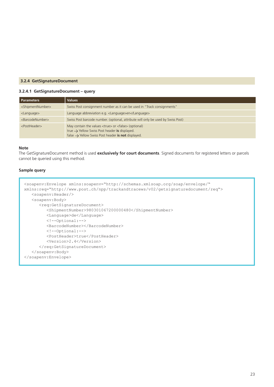### **3.2.4 GetSignatureDocument**

### **3.2.4.1 GetSignatureDocument – query**

| <b>Parameters</b>                 | <b>Values</b>                                                                                                                                                                                                             |
|-----------------------------------|---------------------------------------------------------------------------------------------------------------------------------------------------------------------------------------------------------------------------|
| <shipmentnumber></shipmentnumber> | Swiss Post consignment number as it can be used in "Track consignments"                                                                                                                                                   |
| <language></language>             | Language abbreviation e.g. <language>en</language>                                                                                                                                                                        |
| <barcodenumber></barcodenumber>   | Swiss Post barcode number. (optional, attribute will only be used by Swiss Post)                                                                                                                                          |
| <postheader></postheader>         | May contain the values <true> or <false> (optional)<br/>true <math>\rightarrow</math> Yellow Swiss Post header is displayed.<br/>false <math>\rightarrow</math> Yellow Swiss Post header is not displayed.</false></true> |

### **Note**

The GetSignatureDocument method is used **exclusively for court documents**. Signed documents for registered letters or parcels cannot be queried using this method.

### **Sample query**

```
<soapenv:Envelope xmlns:soapenv="http://schemas.xmlsoap.org/soap/envelope/" 
xmlns:req="http://www.post.ch/npp/trackandtracews/v02/getsignaturedocument/req">
   <soapenv:Header/>
   <soapenv:Body>
       <req:GetSignatureDocument>
          <ShipmentNumber>980301067200000480</ShipmentNumber>
          <Language>de</Language>
          <!--Optional:-->
          <BarcodeNumber></BarcodeNumber>
          <!--Optional:-->
          <PostHeader>true</PostHeader>
          <Version>2.4</Version>
       </req:GetSignatureDocument>
    </soapenv:Body>
</soapenv:Envelope>
```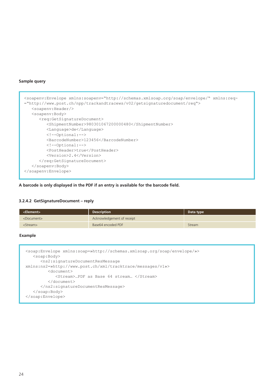### **Sample query**

```
<soapenv:Envelope xmlns:soapenv="http://schemas.xmlsoap.org/soap/envelope/" xmlns:req-
="http://www.post.ch/npp/trackandtracews/v02/getsignaturedocument/req">
   <soapenv:Header/>
    <soapenv:Body>
       <req:GetSignatureDocument>
          <ShipmentNumber>980301067200000480</ShipmentNumber>
          <Language>de</Language>
          <!--Optional:-->
          <BarcodeNumber>123456</BarcodeNumber>
          <!--Optional:-->
          <PostHeader>true</PostHeader>
          <Version>2.4</Version>
      </req:GetSignatureDocument>
    </soapenv:Body>
</soapenv:Envelope>
```
### **A barcode is only displayed in the PDF if an entry is available for the barcode field.**

### **3.2.4.2 GetSignatureDocument – reply**

| <element></element>   | <b>Description</b>         | Data type |
|-----------------------|----------------------------|-----------|
| <document></document> | Acknowledgement of receipt |           |
| <stream></stream>     | Base64 encoded PDF         | Stream    |

```
<soap:Envelope xmlns:soap=»http://schemas.xmlsoap.org/soap/envelope/»>
    <soap:Body>
       <ns2:signatureDocumentResMessage 
xmlns:ns2=»http://www.post.ch/xml/tracktrace/messages/v1»>
          <document>
             <Stream>…PDF as Base 64 stream… </Stream>
          </document>
       </ns2:signatureDocumentResMessage>
    </soap:Body>
</soap:Envelope>
```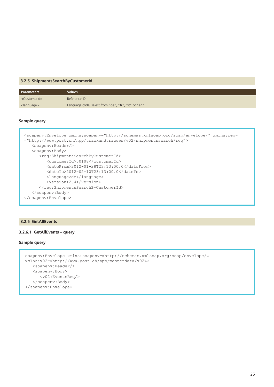### **3.2.5 ShipmentsSearchByCustomerId**

| Parameters                | <b>Values</b>                                       |
|---------------------------|-----------------------------------------------------|
| <customerid></customerid> | Reference ID                                        |
| <language></language>     | Language code, select from "de", "fr", "it" or "en" |

### **Sample query**

```
<soapenv:Envelope xmlns:soapenv="http://schemas.xmlsoap.org/soap/envelope/" xmlns:req-
="http://www.post.ch/npp/trackandtracews/v02/shipmentssearch/req">
   <soapenv:Header/>
   <soapenv:Body>
       <req:ShipmentsSearchByCustomerId>
          <customerId>00108</customerId>
          <dateFrom>2012-01-28T23:13:00.0</dateFrom>
          <dateTo>2012-02-10T23:13:00.0</dateTo>
          <language>de</language>
          <Version>2.4</Version>
       </req:ShipmentsSearchByCustomerId>
    </soapenv:Body>
</soapenv:Envelope>
```
#### **3.2.6 GetAllEvents**

### **3.2.6.1 GetAllEvents – query**

### **Sample query**

```
soapenv:Envelope xmlns:soapenv=»http://schemas.xmlsoap.org/soap/envelope/» 
xmlns:v02=»http://www.post.ch/npp/masterdata/v02»>
    <soapenv:Header/>
    <soapenv:Body>
       <v02:EventsReq/>
    </soapenv:Body>
</soapenv:Envelope>
```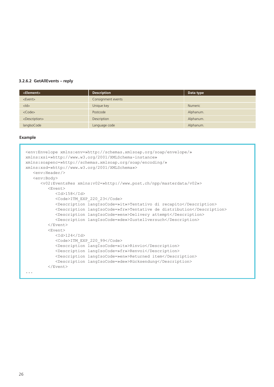### **3.2.6.2 GetAllEvents – reply**

| <element></element>         | <b>Description</b> | Data type      |
|-----------------------------|--------------------|----------------|
| <event></event>             | Consignment events |                |
| $<$ ld $>$                  | Unique key         | <b>Numeric</b> |
| $<$ Code $>$                | Postcode           | Alphanum.      |
| <description></description> | Description        | Alphanum.      |
| langlsoCode                 | Language code      | Alphanum.      |

```
<env:Envelope xmlns:env=»http://schemas.xmlsoap.org/soap/envelope/» 
xmlns:xsi=»http://www.w3.org/2001/XMLSchema-instance» 
xmlns:soapenc=»http://schemas.xmlsoap.org/soap/encoding/» 
xmlns:xsd=»http://www.w3.org/2001/XMLSchema»>
    <env:Header/>
    <env:Body>
       <v02:EventsRes xmlns:v02=»http://www.post.ch/npp/masterdata/v02»>
          <Event>
             <Id>158</Id>
             <Code>ITM_EXP_220_23</Code>
             <Description langIsoCode=»it»>Tentativo di recapito</Description>
             <Description langIsoCode=»fr»>Tentative de distribution</Description>
             <Description langIsoCode=»en»>Delivery attempt</Description>
             <Description langIsoCode=»de»>Zustellversuch</Description>
          </Event>
          <Event>
            <Id>124</Id>
             <Code>ITM_EXP_220_99</Code>
             <Description langIsoCode=»it»>Rinvio</Description>
             <Description langIsoCode=»fr»>Renvoi</Description>
             <Description langIsoCode=»en»>Returned item</Description>
             <Description langIsoCode=»de»>Rücksendung</Description>
          </Event> 
...
```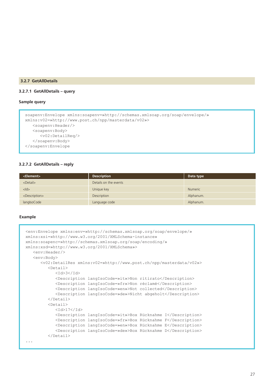### **3.2.7 GetAllDetails**

### **3.2.7.1 GetAllDetails – query**

### **Sample query**

```
soapenv:Envelope xmlns:soapenv=»http://schemas.xmlsoap.org/soap/envelope/» 
xmlns:v02=»http://www.post.ch/npp/masterdata/v02»>
   <soapenv:Header/>
    <soapenv:Body>
       <v02:DetailReq/>
    </soapenv:Body>
</soapenv:Envelope
```
### **3.2.7.2 GetAllDetails – reply**

| <element></element>         | <b>Description</b>    | Data type      |
|-----------------------------|-----------------------|----------------|
| $<$ Detail $>$              | Details on the events |                |
| $<$ ld $>$                  | Unique key            | <b>Numeric</b> |
| <description></description> | Description           | Alphanum.      |
| langIsoCode                 | Language code         | Alphanum.      |

```
<env:Envelope xmlns:env=»http://schemas.xmlsoap.org/soap/envelope/» 
xmlns:xsi=»http://www.w3.org/2001/XMLSchema-instance» 
xmlns:soapenc=»http://schemas.xmlsoap.org/soap/encoding/» 
xmlns:xsd=»http://www.w3.org/2001/XMLSchema»>
    <env:Header/>
    <env:Body>
       <v02:DetailRes xmlns:v02=»http://www.post.ch/npp/masterdata/v02»>
          <Detail>
             <Id>3</Id>
             <Description langIsoCode=»it»>Non ritirato</Description>
             <Description langIsoCode=»fr»>Non réclamé</Description>
             <Description langIsoCode=»en»>Not collected</Description>
             <Description langIsoCode=»de»>Nicht abgeholt</Description>
          </Detail>
          <Detail>
            <Id>17</Id>
             <Description langIsoCode=»it»>Box Rücknahme I</Description>
             <Description langIsoCode=»fr»>Box Rücknahme F</Description>
             <Description langIsoCode=»en»>Box Rücknahme E</Description>
             <Description langIsoCode=»de»>Box Rücknahme D</Description>
          </Detail> 
...
```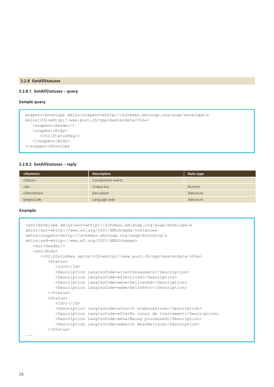### **3.2.8 GetAllStatuses**

### **3.2.8.1 GetAllStatuses – query**

### **Sample query**

```
soapenv:Envelope xmlns:soapenv=»http://schemas.xmlsoap.org/soap/envelope/» 
xmlns:v02=»http://www.post.ch/npp/masterdata/v02»>
   <soapenv:Header/>
    <soapenv:Body>
       <v02:StatusReq/>
    </soapenv:Body>
</soapenv:Envelope
```
### **3.2.8.2 GetAllStatuses – reply**

| <element></element>         | <b>Description</b> | Data type      |
|-----------------------------|--------------------|----------------|
| <status></status>           | Consignment events |                |
| $<$ ld $>$                  | Unique key         | <b>Numeric</b> |
| <description></description> | Description        | Alphanum.      |
| langlsoCode                 | Language code      | Alphanum.      |

```
<env:Envelope xmlns:env=»http://schemas.xmlsoap.org/soap/envelope/» 
xmlns:xsi=»http://www.w3.org/2001/XMLSchema-instance» 
xmlns:soapenc=»http://schemas.xmlsoap.org/soap/encoding/» 
xmlns:xsd=»http://www.w3.org/2001/XMLSchema»>
    <env:Header/>
    <env:Body>
       <v02:StatusRes xmlns:v02=»http://www.post.ch/npp/masterdata/v02»>
          <Status>
            <Id>0</Id>
             <Description langIsoCode=»it»>Consegnato</Description>
             <Description langIsoCode=»fr»>Livré</Description>
             <Description langIsoCode=»en»>Delivered</Description>
             <Description langIsoCode=»de»>Geliefert</Description>
          </Status>
          <Status>
            <Id>1</Id>
             <Description langIsoCode=»it»>In elaborazione</Description>
             <Description langIsoCode=»fr»>En cours de traitement</Description>
             <Description langIsoCode=»en»>Being processed</Description>
             <Description langIsoCode=»de»>In Bearbeitung</Description>
          </Status> 
...
```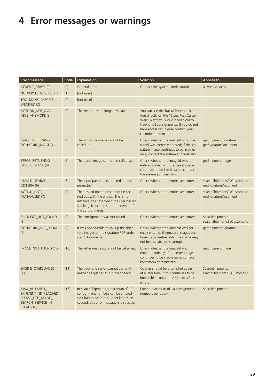# **4 Error messages or warnings**

| Error message E                                                                               | Code | <b>Explanation</b>                                                                                                                                                                         | <b>Solution</b>                                                                                                                                                                                                            | <b>Applies to</b>                                   |
|-----------------------------------------------------------------------------------------------|------|--------------------------------------------------------------------------------------------------------------------------------------------------------------------------------------------|----------------------------------------------------------------------------------------------------------------------------------------------------------------------------------------------------------------------------|-----------------------------------------------------|
| GENERIC_ERROR (0)                                                                             | (0)  | General error                                                                                                                                                                              | Contact the system administrator                                                                                                                                                                                           | all web services                                    |
| NO_PARCEL_SPECIFIED (1)                                                                       | (1)  | [not used]                                                                                                                                                                                 |                                                                                                                                                                                                                            |                                                     |
| TOO_MANY_PARCELS_<br>SPECIFIED (2)                                                            | (2)  | [not used]                                                                                                                                                                                 |                                                                                                                                                                                                                            |                                                     |
| METHOD_NOT_AVAIL-<br>ABLE_ANYMORE (3)                                                         | (3)  | This method is no longer available.                                                                                                                                                        | You can use the Track&Trace applica-<br>tion directly on the "Swiss Post Cargo<br>Web" platform (www.spcweb.ch) to<br>track small consignments. If you do not<br>have access yet, please contact your<br>customer advisor. |                                                     |
| ERROR_RETRIEVING_<br>SIGNATURE_IMAGE (4)                                                      | (4)  | The signature image cannot be<br>called up.                                                                                                                                                | Check whether the Imageld or Signa-<br>tureld was correctly entered; if the sig-<br>nature image continues to be irretriev-<br>able, contact the system administrator.                                                     | getShipmentSignature<br>getSignatureDocument        |
| ERROR_RETRIEVING_<br>PARCEL_IMAGE (5)                                                         | (5)  | The parcel image cannot be called up.                                                                                                                                                      | Check whether the Imageld was<br>entered correctly; if the parcel image<br>continues to be irretrievable, contact<br>the system administrator.                                                                             | getShipmentImage                                    |
| INVALID_SEARCH_<br>CRITERIA (6)                                                               | (6)  | The input parameters entered are not<br>permitted.                                                                                                                                         | Check whether the entries are correct.                                                                                                                                                                                     | searchShipmentsByCustomerId<br>getSignatureDocument |
| ACTION_NOT_<br><b>AUTHORIZED (7)</b>                                                          | (7)  | The desired operation cannot be car-<br>ried out with the entries. This is, for<br>instance, the case when the user has no<br>franking licence or is not the owner of<br>the consignments. | Check whether the entries are correct.                                                                                                                                                                                     | searchShipmentsByCustomerId<br>getSignatureDocument |
| SHIPMENT_NOT_FOUND<br>(8)                                                                     | (8)  | The consignment was not found.                                                                                                                                                             | Check whether the entries are correct.                                                                                                                                                                                     | SearchShipments<br>searchShipmentsByCustomerId      |
| SIGNATURE_NOT_FOUND<br>(9)                                                                    | (9)  | It was not possible to call up the signa-<br>ture images or the signature PDF under<br>court documents.                                                                                    | Check whether the Imageld was cor-<br>rectly entered; if signature images con-<br>tinue to be irretrievable, the image may<br>not be available or is corrupt.                                                              | getShipmentSignature                                |
| IMAGE_NOT_FOUND (10)                                                                          | (10) | The letter image could not be called up.                                                                                                                                                   | Check whether the Imageld was<br>entered correctly; if the letter image<br>continues to be irretrievable, contact<br>the system administrator.                                                                             | getShipmentImage                                    |
| ENGINE_OVERLOADED<br>(11)                                                                     | (11) | The back-end server cannot currently<br>answer all queries as it is overloaded.                                                                                                            | Queries should be attempted again<br>at a later time; if this continues to be<br>impossible, contact the system admin-<br>istrator.                                                                                        | SearchShipments<br>searchShipmentsByCustomerId      |
| MAX_ALLOWED_<br>SHIPMENT_NR_REACHED_<br>PLEASE_USE_ASYNC_<br>SEARCH_SERVICE_IN-<br>STEAD (16) | (16) | In SearchShipments a maximum of 10<br>consignment numbers can be entered<br>simultaneously. If this upper limit is ex-<br>ceeded, this error message is displayed.                         | Enter a maximum of 10 consignment<br>numbers per query.                                                                                                                                                                    | SearchShipments                                     |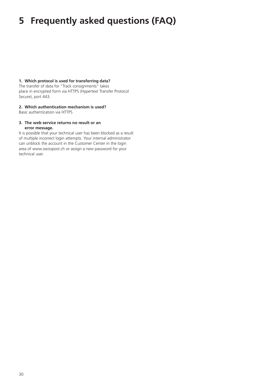## **5 Frequently asked questions (FAQ)**

### **1. Which protocol is used for transferring data?**

The transfer of data for "Track consignments" takes place in encrypted form via HTTPS (Hypertext Transfer Protocol Secure), port 443.

### **2. Which authentication mechanism is used?**

Basic authentication via HTTPS

### **3. The web service returns no result or an**

### **error message.**

It is possible that your technical user has been blocked as a result of multiple incorrect login attempts. Your internal administrator can unblock the account in the Customer Center in the login area of www.swisspost.ch or assign a new password for your technical user.